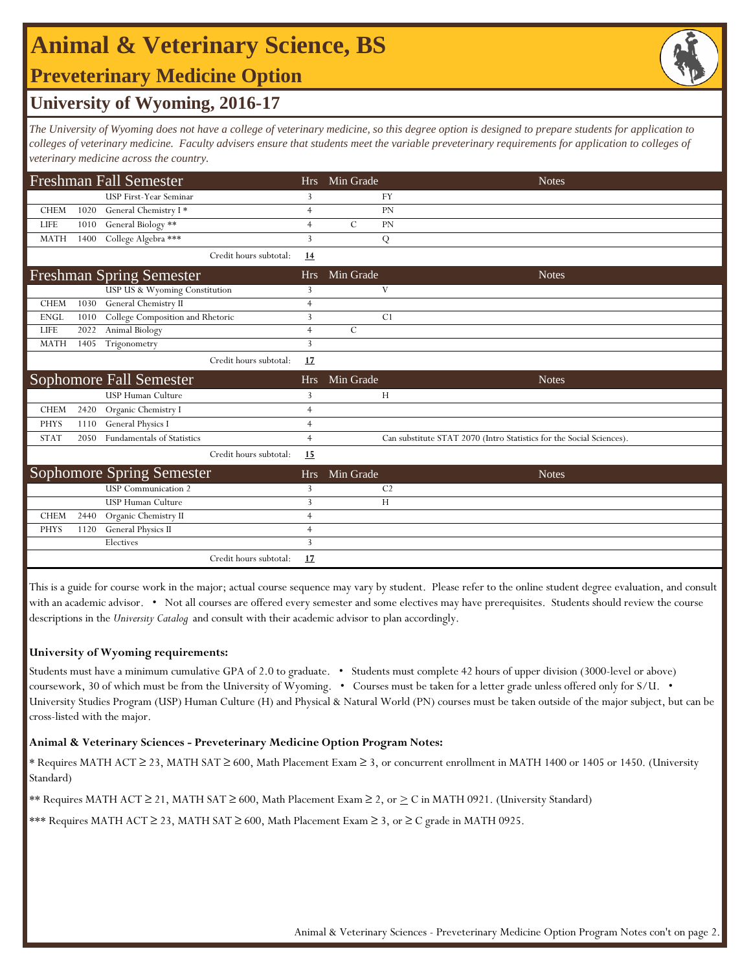# **Animal & Veterinary Science, BS**

### **Preveterinary Medicine Option**

## **University of Wyoming, 2016-17**

*The University of Wyoming does not have a college of veterinary medicine, so this degree option is designed to prepare students for application to*  colleges of veterinary medicine. Faculty advisers ensure that students meet the variable preveterinary requirements for application to colleges of *veterinary medicine across the country.* 

|             |      | <b>Freshman Fall Semester</b>    | <b>Hrs</b>     | Min Grade                  | <b>Notes</b>                                                         |
|-------------|------|----------------------------------|----------------|----------------------------|----------------------------------------------------------------------|
|             |      | <b>USP First-Year Seminar</b>    | 3              | <b>FY</b>                  |                                                                      |
| <b>CHEM</b> | 1020 | General Chemistry I*             | $\overline{4}$ | <b>PN</b>                  |                                                                      |
| LIFE        | 1010 | General Biology **               | $\overline{4}$ | $\mathcal{C}$<br><b>PN</b> |                                                                      |
| <b>MATH</b> | 1400 | College Algebra ***              | 3              | Q                          |                                                                      |
|             |      | Credit hours subtotal:           | 14             |                            |                                                                      |
|             |      | <b>Freshman Spring Semester</b>  | <b>Hrs</b>     | Min Grade                  | <b>Notes</b>                                                         |
|             |      | USP US & Wyoming Constitution    | 3              | V                          |                                                                      |
| <b>CHEM</b> | 1030 | General Chemistry II             | $\overline{4}$ |                            |                                                                      |
| <b>ENGL</b> | 1010 | College Composition and Rhetoric | 3              | C <sub>1</sub>             |                                                                      |
| LIFE        | 2022 | Animal Biology                   | $\overline{4}$ | $\mathcal{C}$              |                                                                      |
| <b>MATH</b> | 1405 | Trigonometry                     | 3              |                            |                                                                      |
|             |      | Credit hours subtotal:           | 17             |                            |                                                                      |
|             |      |                                  |                |                            |                                                                      |
|             |      | Sophomore Fall Semester          | <b>Hrs</b>     | Min Grade                  | <b>Notes</b>                                                         |
|             |      | <b>USP Human Culture</b>         | 3              | H                          |                                                                      |
| <b>CHEM</b> | 2420 | Organic Chemistry I              | $\overline{4}$ |                            |                                                                      |
| <b>PHYS</b> | 1110 | <b>General Physics I</b>         | $\overline{4}$ |                            |                                                                      |
| <b>STAT</b> | 2050 | Fundamentals of Statistics       | $\overline{4}$ |                            | Can substitute STAT 2070 (Intro Statistics for the Social Sciences). |
|             |      | Credit hours subtotal:           | 15             |                            |                                                                      |
|             |      | <b>Sophomore Spring Semester</b> | <b>Hrs</b>     | Min Grade                  | <b>Notes</b>                                                         |
|             |      | <b>USP</b> Communication 2       | 3              | C <sub>2</sub>             |                                                                      |
|             |      | <b>USP Human Culture</b>         | 3              | H                          |                                                                      |
| <b>CHEM</b> | 2440 | Organic Chemistry II             | $\overline{4}$ |                            |                                                                      |
| <b>PHYS</b> | 1120 | General Physics II               | $\overline{4}$ |                            |                                                                      |
|             |      | Electives                        | 3              |                            |                                                                      |

This is a guide for course work in the major; actual course sequence may vary by student. Please refer to the online student degree evaluation, and consult with an academic advisor. • Not all courses are offered every semester and some electives may have prerequisites. Students should review the course descriptions in the *University Catalog* and consult with their academic advisor to plan accordingly.

### **University of Wyoming requirements:**

Students must have a minimum cumulative GPA of 2.0 to graduate. • Students must complete 42 hours of upper division (3000-level or above) coursework, 30 of which must be from the University of Wyoming. • Courses must be taken for a letter grade unless offered only for S/U. • University Studies Program (USP) Human Culture (H) and Physical & Natural World (PN) courses must be taken outside of the major subject, but can be cross-listed with the major.

#### **Animal & Veterinary Sciences - Preveterinary Medicine Option Program Notes:**

\* Requires MATH ACT ≥ 23, MATH SAT ≥ 600, Math Placement Exam ≥ 3, or concurrent enrollment in MATH 1400 or 1405 or 1450. (University Standard)

\*\* Requires MATH ACT ≥ 21, MATH SAT ≥ 600, Math Placement Exam ≥ 2, or > C in MATH 0921. (University Standard)

\*\*\* Requires MATH ACT ≥ 23, MATH SAT ≥ 600, Math Placement Exam ≥ 3, or ≥ C grade in MATH 0925.